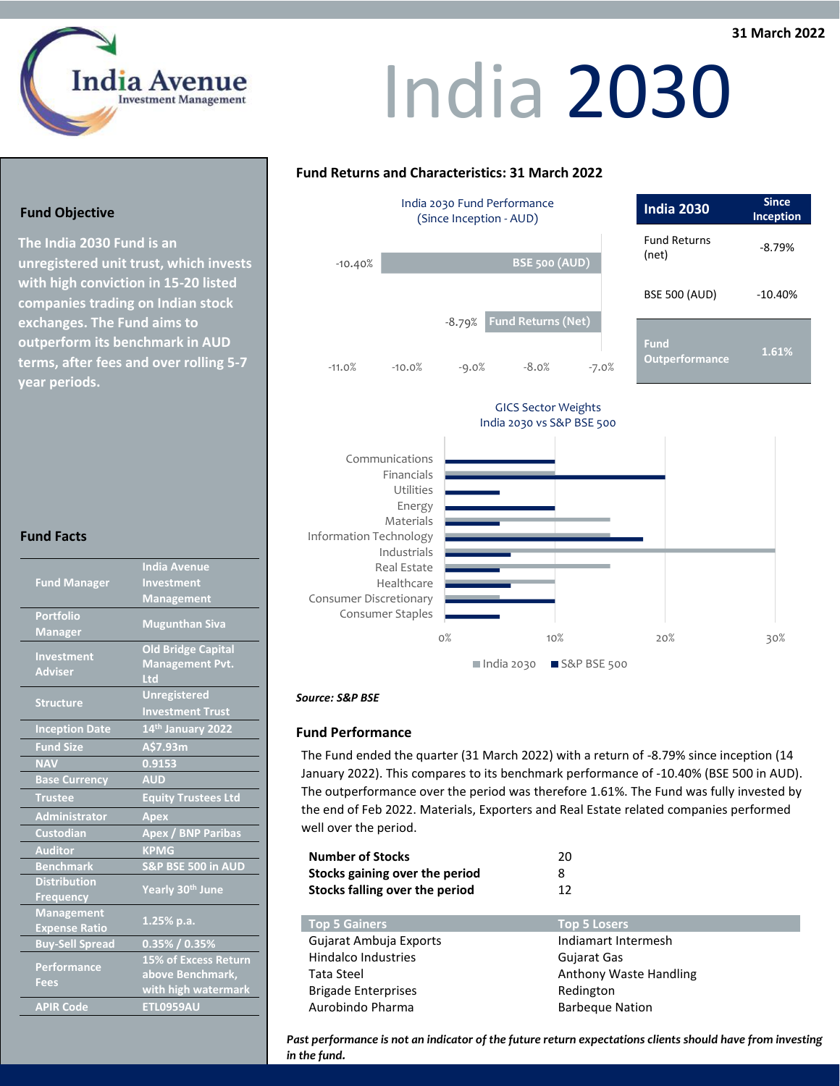### $\frac{1}{\sqrt{2}}$  $\overline{\phantom{a}}$ **31 March 2022**



## **India 2030**

### **Fund Returns and Characteristics: 31 March 2022**



### *Source: S&P BSE*

### **Fund Performance**

The Fund ended the quarter (31 March 2022) with a return of -8.79% since inception (14 January 2022). This compares to its benchmark performance of -10.40% (BSE 500 in AUD). The outperformance over the period was therefore 1.61%. The Fund was fully invested by the end of Feb 2022. Materials, Exporters and Real Estate related companies performed well over the period.

| <b>Number of Stocks</b>        | 20 |
|--------------------------------|----|
| Stocks gaining over the period | 8  |
| Stocks falling over the period | 12 |

| <b>Top 5 Gainers</b>       | <b>Top 5 Losers</b>    |
|----------------------------|------------------------|
| Gujarat Ambuja Exports     | Indiamart Intermesh    |
| <b>Hindalco Industries</b> | Gujarat Gas            |
| Tata Steel                 | Anthony Waste Handling |
| <b>Brigade Enterprises</b> | Redington              |
| Aurobindo Pharma           | <b>Barbeque Nation</b> |

*Past performance is not an indicator of the future return expectations clients should have from investing in the fund.* 

### **Fund Objective**

**The India 2030 Fund is an unregistered unit trust, which invests with high conviction in 15-20 listed companies trading on Indian stock exchanges. The Fund aims to outperform its benchmark in AUD terms, after fees and over rolling 5-7 year periods.**

### **Fund Facts**

| <b>Fund Manager</b>               | <b>India Avenue</b>           |
|-----------------------------------|-------------------------------|
|                                   | Investment                    |
|                                   | <b>Management</b>             |
| <b>Portfolio</b>                  |                               |
| <b>Manager</b>                    | <b>Mugunthan Siva</b>         |
| Investment<br><b>Adviser</b>      | <b>Old Bridge Capital</b>     |
|                                   | <b>Management Pvt.</b>        |
|                                   | Ltd                           |
| <b>Structure</b>                  | <b>Unregistered</b>           |
|                                   | <b>Investment Trust</b>       |
| <b>Inception Date</b>             | 14 <sup>th</sup> January 2022 |
| <b>Fund Size</b>                  | A\$7.93m                      |
| <b>NAV</b>                        | 0.9153                        |
| <b>Base Currency</b>              | <b>AUD</b>                    |
| <b>Trustee</b>                    | <b>Equity Trustees Ltd</b>    |
| <b>Administrator</b>              | <b>Apex</b>                   |
| <b>Custodian</b>                  | Apex / BNP Paribas            |
| <b>Auditor</b>                    | <b>KPMG</b>                   |
| <b>Benchmark</b>                  | S&P BSE 500 in AUD            |
| <b>Distribution</b>               |                               |
| <b>Frequency</b>                  | Yearly 30th June              |
| <b>Management</b>                 | $1.25%$ p.a.                  |
| <b>Expense Ratio</b>              |                               |
| <b>Buy-Sell Spread</b>            | $0.35\%$ / $0.35\%$           |
| <b>Performance</b><br><b>Fees</b> | 15% of Excess Return          |
|                                   | above Benchmark,              |
|                                   | with high watermark           |
| <b>APIR Code</b>                  | <b>ETL0959AU</b>              |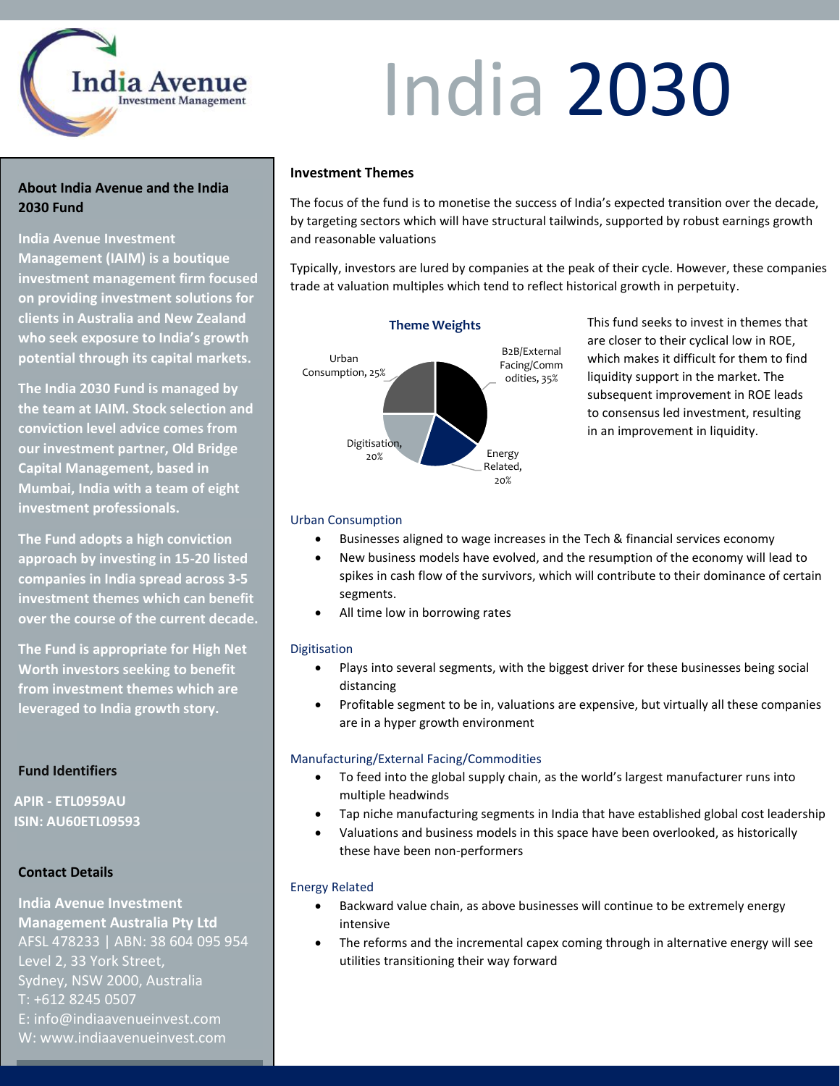

### India 2030

### **About India Avenue and the India 2030 Fund**

**India Avenue Investment** 

**Management (IAIM) is a boutique investment management firm focused on providing investment solutions for clients in Australia and New Zealand who seek exposure to India's growth potential through its capital markets.**

**The India 2030 Fund is managed by the team at IAIM. Stock selection and conviction level advice comes from our investment partner, Old Bridge Capital Management, based in Mumbai, India with a team of eight investment professionals.**

**The Fund adopts a high conviction approach by investing in 15-20 listed companies in India spread across 3-5 investment themes which can benefit over the course of the current decade.**

**The Fund is appropriate for High Net Worth investors seeking to benefit from investment themes which are leveraged to India growth story.**

### **Fund Identifiers**

**APIR - ETL0959AU ISIN: AU60ETL09593**

### **Contact Details**

**India Avenue Investment Management Australia Pty Ltd** AFSL 478233 | ABN: 38 604 095 954 Level 2, 33 York Street, Sydney, NSW 2000, Australia T: +612 8245 0507 E: info@indiaavenueinvest.com W: www.indiaavenueinvest.com

### **Investment Themes**

The focus of the fund is to monetise the success of India's expected transition over the decade, by targeting sectors which will have structural tailwinds, supported by robust earnings growth and reasonable valuations

Typically, investors are lured by companies at the peak of their cycle. However, these companies trade at valuation multiples which tend to reflect historical growth in perpetuity.



**Theme Weights** This fund seeks to invest in themes that are closer to their cyclical low in ROE, which makes it difficult for them to find liquidity support in the market. The subsequent improvement in ROE leads to consensus led investment, resulting in an improvement in liquidity.

### Urban Consumption

- Businesses aligned to wage increases in the Tech & financial services economy
- New business models have evolved, and the resumption of the economy will lead to spikes in cash flow of the survivors, which will contribute to their dominance of certain segments.
- All time low in borrowing rates

### Digitisation

- Plays into several segments, with the biggest driver for these businesses being social distancing
- Profitable segment to be in, valuations are expensive, but virtually all these companies are in a hyper growth environment

### Manufacturing/External Facing/Commodities

- To feed into the global supply chain, as the world's largest manufacturer runs into multiple headwinds
- Tap niche manufacturing segments in India that have established global cost leadership
- Valuations and business models in this space have been overlooked, as historically these have been non-performers

### Energy Related

- Backward value chain, as above businesses will continue to be extremely energy intensive
- The reforms and the incremental capex coming through in alternative energy will see utilities transitioning their way forward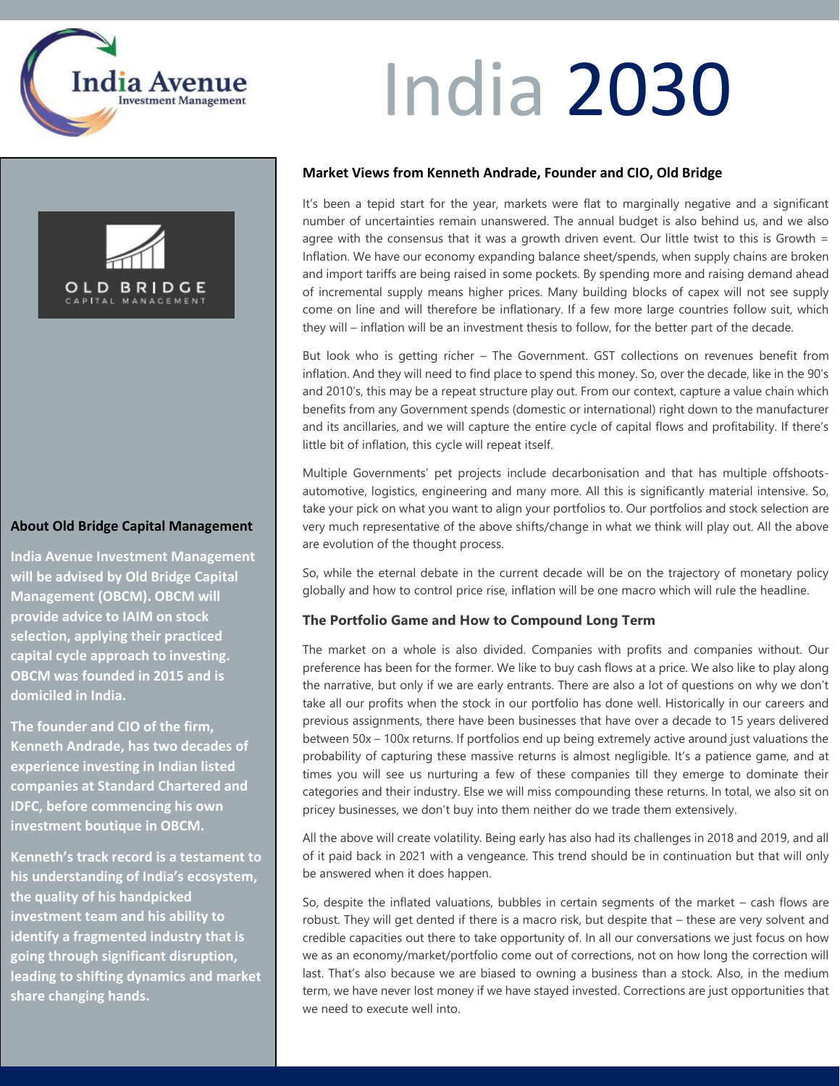

# OLD BRIDGE

### **About Old Bridge Capital Management**

**India Avenue Investment Management will be advised by Old Bridge Capital Management (OBCM). OBCM will provide advice to IAIM on stock selection, applying their practiced capital cycle approach to investing. OBCM was founded in 2015 and is domiciled in India.** 

**The founder and CIO of the firm, Kenneth Andrade, has two decades of experience investing in Indian listed companies at Standard Chartered and IDFC, before commencing his own investment boutique in OBCM.** 

**Kenneth's track record is a testament to his understanding of India's ecosystem, the quality of his handpicked investment team and his ability to identify a fragmented industry that is going through significant disruption, leading to shifting dynamics and market share changing hands.**

### India 2030

### **Market Views from Kenneth Andrade, Founder and CIO, Old Bridge**

It's been a tepid start for the year, markets were flat to marginally negative and a significant number of uncertainties remain unanswered. The annual budget is also behind us, and we also agree with the consensus that it was a growth driven event. Our little twist to this is Growth = Inflation. We have our economy expanding balance sheet/spends, when supply chains are broken and import tariffs are being raised in some pockets. By spending more and raising demand ahead of incremental supply means higher prices. Many building blocks of capex will not see supply come on line and will therefore be inflationary. If a few more large countries follow suit, which they will – inflation will be an investment thesis to follow, for the better part of the decade.

But look who is getting richer – The Government. GST collections on revenues benefit from inflation. And they will need to find place to spend this money. So, over the decade, like in the 90's and 2010's, this may be a repeat structure play out. From our context, capture a value chain which benefits from any Government spends (domestic or international) right down to the manufacturer and its ancillaries, and we will capture the entire cycle of capital flows and profitability. If there's little bit of inflation, this cycle will repeat itself.

Multiple Governments' pet projects include decarbonisation and that has multiple offshootsautomotive, logistics, engineering and many more. All this is significantly material intensive. So, take your pick on what you want to align your portfolios to. Our portfolios and stock selection are very much representative of the above shifts/change in what we think will play out. All the above are evolution of the thought process.

So, while the eternal debate in the current decade will be on the trajectory of monetary policy globally and how to control price rise, inflation will be one macro which will rule the headline.

### **The Portfolio Game and How to Compound Long Term**

The market on a whole is also divided. Companies with profits and companies without. Our preference has been for the former. We like to buy cash flows at a price. We also like to play along the narrative, but only if we are early entrants. There are also a lot of questions on why we don't take all our profits when the stock in our portfolio has done well. Historically in our careers and previous assignments, there have been businesses that have over a decade to 15 years delivered between 50x – 100x returns. If portfolios end up being extremely active around just valuations the probability of capturing these massive returns is almost negligible. It's a patience game, and at times you will see us nurturing a few of these companies till they emerge to dominate their categories and their industry. Else we will miss compounding these returns. In total, we also sit on pricey businesses, we don't buy into them neither do we trade them extensively.

All the above will create volatility. Being early has also had its challenges in 2018 and 2019, and all of it paid back in 2021 with a vengeance. This trend should be in continuation but that will only be answered when it does happen.

So, despite the inflated valuations, bubbles in certain segments of the market – cash flows are robust. They will get dented if there is a macro risk, but despite that – these are very solvent and credible capacities out there to take opportunity of. In all our conversations we just focus on how we as an economy/market/portfolio come out of corrections, not on how long the correction will last. That's also because we are biased to owning a business than a stock. Also, in the medium term, we have never lost money if we have stayed invested. Corrections are just opportunities that we need to execute well into.